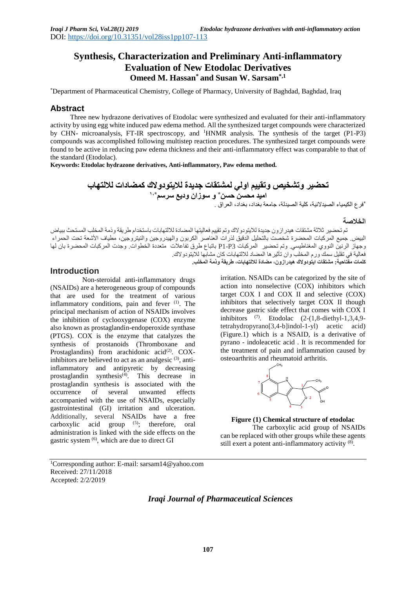# **Synthesis, Characterization and Preliminary Anti-inflammatory Evaluation of New Etodolac Derivatives Omeed M. Hassan\* and Susan W. Sarsam\*,1**

\*Department of Pharmaceutical Chemistry, College of Pharmacy, University of Baghdad, Baghdad, Iraq

### **Abstract**

Three new hydrazone derivatives of Etodolac were synthesized and evaluated for their anti-inflammatory activity by using egg white induced paw edema method. All the synthesized target compounds were characterized by CHN- microanalysis, FT-IR spectroscopy, and <sup>1</sup>HNMR analysis. The synthesis of the target (P1-P3) compounds was accomplished following multistep reaction procedures. The synthesized target compounds were found to be active in reducing paw edema thickness and their anti-inflammatory effect was comparable to that of the standard (Etodolac).

**Keywords: Etodolac hydrazone derivatives, Anti-inflammatory, Paw edema method.**

**تحضير وتشخيص وتقييم اولي لمشتقات جديدة لاليتودوالك كمضادات لاللتهاب \* اميد محسن حسن و سوزان وديع سرسم 1،\***

\* فرع الكيمياء الصيدالنية، كلية الصيدلة، جامعة بغداد، بغداد، العراق .

### **الخالصة**

تم تحضير ثالثة مشتقات هيدرازون جديدة لاليتودوالك وتم تقييم فعاليتها المضادة لاللتهابات باستخدام طريقة وذمة المخلب المستحث ببياض البيض جميع المركبات المحضرة شخصت بالتحليل الدقيق لذرات العناصر الكربون والهيدروجين والنيتروجين، مطياف الأشعة تحت الحمراء وجهاز الرنين النووي المغناطيسي. وتم تحضير المركبات 3P1-P باتباع طرق تفاعالت متعددة الخطوات. وجدت المركبات المحضرة بان لها فعالية في تقليل سمك ورم المخلب وان تأثيرها المضاد لاللتهابات كان مشابها لاليتودوالك. **كلمات مفتاحية: مشتقات ايتودوالك هيدرازون، مضادة لاللتهابات، طريقة وذمة المخلب.**

# **Introduction**

Non-steroidal anti-inflammatory drugs (NSAIDs) are a heterogeneous group of compounds that are used for the treatment of various inflammatory conditions, pain and fever (1). The principal mechanism of action of NSAIDs involves the inhibition of cyclooxygenase (COX) enzyme also known as prostaglandin-endoperoxide synthase (PTGS). COX is the enzyme that catalyzes the synthesis of prostanoids (Thromboxane and Prostaglandins) from arachidonic acid<sup>(2)</sup>. COXinhibitors are believed to act as an analgesic  $(3)$ , antiinflammatory and antipyretic by decreasing prostaglandin synthesis $\left(4\right)$ . This decrease in prostaglandin synthesis is associated with the occurrence of several unwanted effects accompanied with the use of NSAIDs, especially gastrointestinal (GI) irritation and ulceration. Additionally, several NSAIDs have a free carboxylic acid group <sup>(5)</sup>; therefore, oral administration is linked with the side effects on the gastric system <sup>(6)</sup>, which are due to direct GI

irritation. NSAIDs can be categorized by the site of action into nonselective (COX) inhibitors which target COX I and COX II and selective (COX) inhibitors that selectively target COX II though decrease gastric side effect that comes with COX I inhibitors  $(7)$ . Etodolac  $(2-(1,8-\text{diethyl-1},3,4,9-\text{diethyl-1},3,4,9-\text{diethyl-1},3,4,9-\text{diethyl-1},3,4,9-\text{diethyl-1},3,4,9-\text{diethyl-1},3,4,9-\text{diethyl-1},3,4,9-\text{diethyl-1},3,4,9-\text{diethyl-1},3,4,9-\text{diethyl-1},3,4,9-\text{diethyl-1},3,4,9-\text{diethyl-1},3,4,9-\text{diethyl$ tetrahydropyrano[3,4-b]indol-1-yl) acetic acid) (Figure.1) which is a NSAID, is a derivative of pyrano - indoleacetic acid . It is recommended for the treatment of pain and inflammation caused by osteoarthritis and rheumatoid arthritis.



**Figure (1) Chemical structure of etodolac**  The carboxylic acid group of NSAIDs can be replaced with other groups while these agents still exert a potent anti-inflammatory activity (8).

<sup>1</sup>Corresponding author: E-mail: sarsam14@yahoo.com Received: 27/11/2018 Accepted: 2/2/2019

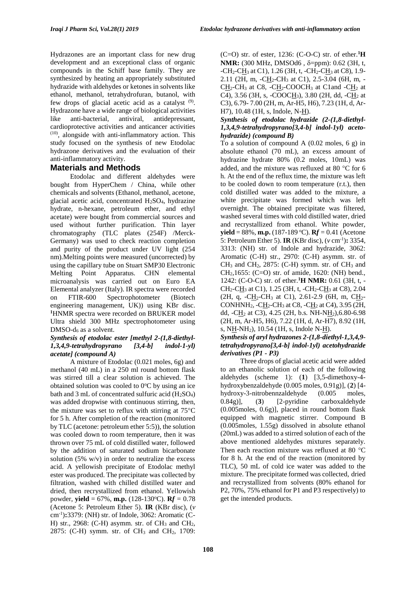Hydrazones are an important class for new drug development and an exceptional class of organic compounds in the Schiff base family. They are synthesized by heating an appropriately substituted hydrazide with aldehydes or ketones in solvents like ethanol, methanol, tetrahydrofuran, butanol, with few drops of glacial acetic acid as a catalyst  $(9)$ . Hydrazone have a wide range of biological activities like anti-bacterial, antiviral, antidepressant, cardioprotective activities and anticancer activities  $(10)$ , alongside with anti-inflammatory action. This study focused on the synthesis of new Etodolac hydrazone derivatives and the evaluation of their anti-inflammatory activity.

# **Materials and Methods**

Etodolac and different aldehydes were bought from HyperChem / China, while other chemicals and solvents (Ethanol, methanol, acetone, glacial acetic acid, concentrated  $H<sub>2</sub>SO<sub>4</sub>$ , hydrazine hydrate, n-hexane, petroleum ether, and ethyl acetate) were bought from commercial sources and used without further purification. Thin layer chromatography (TLC plates (254F) /Merck-Germany) was used to check reaction completion and purity of the product under UV light (254 nm).Melting points were measured (uncorrected) by using the capillary tube on Stuart SMP30 Electronic Melting Point Apparatus. CHN elemental microanalysis was carried out on Euro EA Elemental analyzer (Italy). IR spectra were recorded on FTIR-600 Spectrophotometer (Biotech engineering management, UK)) using KBr disc. **<sup>1</sup>**HNMR spectra were recorded on BRUKER model Ultra shield 300 MHz spectrophotometer using  $DMSO-d<sub>6</sub>$  as a solvent.

#### *Synthesis of etodolac ester [methyl 2-(1,8-diethyl-1,3,4,9-tetrahydropyrano [3,4-b] indol-1-yl) acetate] (compound A)*

A mixture of Etodolac (0.021 moles, 6g) and methanol (40 mL) in a 250 ml round bottom flask was stirred till a clear solution is achieved. The obtained solution was cooled to  $0^{\circ}$ C by using an ice bath and 3 mL of concentrated sulfuric acid  $(H<sub>2</sub>SO<sub>4</sub>)$ was added dropwise with continuous stirring, then, the mixture was set to reflux with stirring at  $75^{\circ}$ C for 5 h. After completion of the reaction (monitored by TLC (acetone: petroleum ether 5:5)), the solution was cooled down to room temperature, then it was thrown over 75 mL of cold distilled water, followed by the addition of saturated sodium bicarbonate solution (5%  $w/v$ ) in order to neutralize the excess acid. A yellowish precipitate of Etodolac methyl ester was produced. The precipitate was collected by filtration, washed with chilled distilled water and dried, then recrystallized from ethanol. Yellowish powder, **yield** = 67%, **m.p.** (128-130°C). **R***f* = 0.78 (Acetone 5: Petroleum Ether 5). **IR** (KBr disc), (*v* cm-1 )**:**3379: (NH) str. of Indole, 3062: Aromatic (C-H) str., 2968: (C-H) asymm. str. of  $CH_3$  and  $CH_2$ , 2875: (C-H) symm. str. of CH<sub>3</sub> and CH<sub>2</sub>, 1709: (C=O) str. of ester, 1236: (C-O-C) str. of ether.**<sup>1</sup>H NMR:** (300 MHz, DMSOd6, δ=ppm): 0.62 (3H, t,  $-CH_2-CH_3$  at C1), 1.26 (3H, t,  $-CH_2-CH_3$  at C8), 1.9-2.11 (2H, m,  $-CH_2-CH_3$  at C1), 2.5-3.04 (6H, m, - $CH_2-CH_3$  at C8,  $-CH_2$ -COOCH<sub>3</sub> at C1and  $-CH_2$  at C4), 3.56 (3H, s, -COOC $H_3$ ), 3.80 (2H, dd, -C $H_2$  at C3), 6.79- 7.00 (2H, m, Ar-H5, H6), 7.23 (1H, d, Ar-H7), 10.48 (1H, s, Indole, N-H).

# *Synthesis of etodolac hydrazide (2-(1,8-diethyl-1,3,4,9-tetrahydropyrano[3,4-b] indol-1yl) acetohydrazide) (compound B)*

To a solution of compound A  $(0.02 \text{ moles}, 6 \text{ g})$  in absolute ethanol (70 mL), an excess amount of hydrazine hydrate 80% (0.2 moles, 10mL) was added, and the mixture was refluxed at 80 $\degree$ C for 6 h. At the end of the reflux time, the mixture was left to be cooled down to room temperature (r.t.), then cold distilled water was added to the mixture, a white precipitate was formed which was left overnight. The obtained precipitate was filtered, washed several times with cold distilled water, dried and recrystallized from ethanol. White powder, **yield** = 88%, **m.p.** (187-189 °C). **R***f* = 0.41 (Acetone 5: Petroleum Ether 5). **IR** (KBr disc), (*v* cm-1 )**:** 3354, 3313: (NH) str. of Indole and hydrazide, 3062: Aromatic (C-H) str., 2970: (C-H) asymm. str. of  $CH_3$  and  $CH_2$ , 2875: (C-H) symm. str. of  $CH_3$  and  $CH<sub>2</sub>$ ,1655: (C=O) str. of amide, 1620: (NH) bend., 1242: (C-O-C) str. of ether.**<sup>1</sup>H NMR:** 0.61 (3H, t, -  $CH_2$ -CH<sub>3</sub> at C1), 1.25 (3H, t, -CH<sub>2</sub>-CH<sub>3</sub> at C8), 2.04 (2H, q, -C $H_2$ -CH<sub>3</sub> at C1), 2.61-2.9 (6H, m, C $H_2$ -CONHNH<sub>2</sub>,  $-CH_2-CH_3$  at C8,  $-CH_2$  at C4), 3.95 (2H, dd,  $-CH<sub>2</sub>$  at C3), 4.25 (2H, b.s. NH-N $H<sub>2</sub>$ ), 6.80-6.98 (2H, m, Ar-H5, H6), 7.22 (1H, d, Ar-H7), 8.92 (1H, s, NH-NH2), 10.54 (1H, s, Indole N-H). *Synthesis of aryl hydrazones 2-(1,8-diethyl-1,3,4,9 tetrahydropyrano[3,4-b] indol-1yl) acetohydrazide* 

*derivatives (P1 - P3)* Three drops of glacial acetic acid were added to an ethanolic solution of each of the following aldehydes (scheme 1): (**1**) [3,5-dimethoxy-4 hydroxybenzaldehyde (0.005 moles, 0.91g)], (**2**) [4 hydroxy-3-nitrobennzaldehyde (0.005 moles, 0.84g)], (**3**) [2-pyridine carboxaldehyde (0.005moles, 0.6g)], placed in round bottom flask equipped with magnetic stirrer. Compound B (0.005moles, 1.55g) dissolved in absolute ethanol (20mL) was added to a stirred solution of each of the above mentioned aldehydes mixtures separately. Then each reaction mixture was refluxed at 80  $^{\circ}$ C for 8 h. At the end of the reaction (monitored by TLC), 50 mL of cold ice water was added to the mixture. The precipitate formed was collected, dried and recrystallized from solvents (80% ethanol for P2, 70%, 75% ethanol for P1 and P3 respectively) to get the intended products.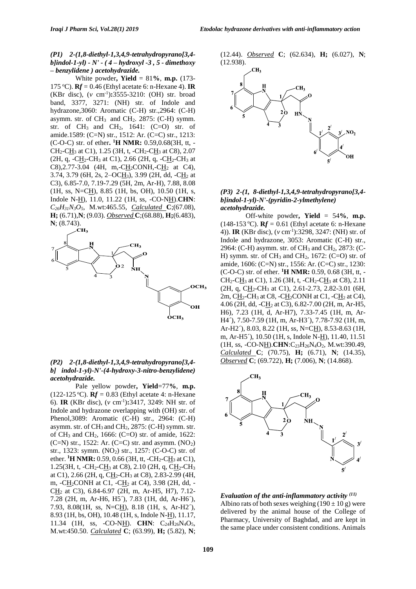#### *(P1) 2-(1,8-diethyl-1,3,4,9-tetrahydropyrano[3,4 b]indol-1-yl) - N' - ( 4 – hydroxyl -3 , 5 - dimethoxy – benzylidene ) acetohydrazide.*

White powder**, Yield** = 81**%**, **m.p.** (173- 175 <sup>o</sup>C). **R***f =* 0.46 (Ethyl acetate 6: n-Hexane 4). **IR**  (KBr disc), (*v* cm-1 )**:**3555-3210: (OH) str. broad band, 3377, 3271: (NH) str. of Indole and hydrazone,3060: Aromatic (C-H) str.,2964: (C-H) asymm. str. of  $CH_3$  and  $CH_2$ . 2875: (C-H) symm. str. of  $CH_3$  and  $CH_2$ , 1641:  $(C=O)$  str. of amide.1589: (C=N) str., 1512: Ar. (C=C) str., 1213: (C-O-C) str. of ether**. <sup>1</sup>H NMR:** 0.59,0.68(3H, tt, -  $CH_2$ -CH<sub>3</sub> at C1), 1.25 (3H, t, -CH<sub>2</sub>-CH<sub>3</sub> at C8), 2.07 (2H, q, -CH<sub>2</sub>-CH<sub>3</sub> at C1), 2.66 (2H, q, -CH<sub>2</sub>-CH<sub>3</sub> at  $C8$ ), 2.77-3.04 (4H, m, -CH<sub>2</sub>CONH, -CH<sub>2</sub> at C4), 3.74, 3.79 (6H, 2s, 2–OCH3), 3.99 (2H, dd, -CH<sup>2</sup> at C3), 6.85-7.0, 7.19-7.29 (5H, 2m, Ar-H), 7.88, 8.08  $(1H, ss, N=CH), 8.85$  (1H, bs, OH), 10.50 (1H, s, Indole N-H), 11.0, 11.22 (1H, ss, -CO-NH).**CHN**: *C26H31N3O5*, M.wt:465.55, *Calculated* **C**;(67.08), **H;** (6.71),**N**; (9.03). *Observed* **C**;(68.88), **H;**(6.483), **N**; (8.743).



#### *(P2) 2-(1,8-diethyl-1,3,4,9-tetrahydropyrano[3,4 b] indol-1-yl)-N'-(4-hydroxy-3-nitro-benzylidene) acetohydrazide.*

Pale yellow powder**, Yield**=77**%**, **m.p.** (122-125 °C).  **(Ethyl acetate 4: n-Hexane** 6). **IR** (KBr disc), (*v* cm-1 )**:**3417, 3249: NH str. of Indole and hydrazone overlapping with (OH) str. of Phenol,3089: Aromatic (C-H) str., 2964: (C-H) asymm. str. of CH<sub>3</sub> and CH<sub>2</sub>, 2875: (C-H) symm. str. of CH<sub>3</sub> and CH<sub>2</sub>, 1666: (C=O) str. of amide, 1622:  $(C=N)$  str., 1522: Ar.  $(C=C)$  str. and asymm.  $(NO<sub>2</sub>)$ str., 1323: symm.  $(NO_2)$  str., 1257:  $(C-O-C)$  str. of ether. <sup>1</sup>**H** NMR: 0.59, 0.66 (3H, tt, -CH<sub>2</sub>-C<u>H</u><sub>3</sub> at C1), 1.25(3H, t, -CH<sub>2</sub>-CH<sub>3</sub> at C<sub>8</sub>), 2.10 (2H, q, CH<sub>2</sub>-CH<sub>3</sub> at C1), 2.66 (2H, q, CH2-CH<sup>3</sup> at C8), 2.83-2.99 (4H, m, -CH2CONH at C1, -CH<sup>2</sup> at C4), 3.98 (2H, dd, -  $CH<sub>2</sub>$  at C3), 6.84-6.97 (2H, m, Ar-H5, H7), 7.12-7.28 (2H, m, Ar-H6, H5´), 7.83 (1H, dd, Ar-H6´), 7.93, 8.08(1H, ss, N=CH), 8.18 (1H, s, Ar-H2´), 8.93 (1H, bs, OH), 10.48 (1H, s, Indole N-H), 11.17, 11.34 (1H, ss, -CO-N<u>H</u>). **CHN**: C<sub>24</sub>H<sub>26</sub>N<sub>4</sub>O<sub>5</sub>, M.wt:450.50. *Calculated* **C**; (63.99), **H;** (5.82), **N**;





#### *(P3) 2-(1, 8-diethyl-1,3,4,9-tetrahydropyrano[3,4 b]indol-1-yl)-N'-(pyridin-2-ylmethylene) acetohydrazide.*

Off-white powder**, Yield** = 54**%**, **m.p.** (148-153 °C).  **(Ethyl acetate 6: n-Hexane** 4)). **IR** (KBr disc), (*v* cm-1 ):3298, 3247: (NH) str. of Indole and hydrazone, 3053: Aromatic (C-H) str., 2964: (C-H) asymm. str. of CH<sup>3</sup> and CH2, 2873: (C-H) symm. str. of  $CH_3$  and  $CH_2$ , 1672: (C=O) str. of amide, 1606: (C=N) str., 1556: Ar. (C=C) str., 1230: (C-O-C) str. of ether. **<sup>1</sup>H NMR:** 0.59, 0.68 (3H, tt, -  $CH_2$ -CH<sub>3</sub> at C1), 1.26 (3H, t, -CH<sub>2</sub>-CH<sub>3</sub> at C8), 2.11  $(2H, q, CH_2-CH_3 \text{ at } Cl)$ , 2.61-2.73, 2.82-3.01 (6H, 2m,  $CH_2$ -CH<sub>3</sub> at C8, -CH<sub>2</sub>CONH at C1, -CH<sub>2</sub> at C4), 4.06 (2H, dd, -CH<sup>2</sup> at C3), 6.82-7.00 (2H, m, Ar-H5, H6), 7.23 (1H, d, Ar-H7), 7.33-7.45 (1H, m, Ar-H4´), 7.50-7.59 (1H, m, Ar-H3´), 7.78-7.92 (1H, m, Ar-H2´), 8.03, 8.22 (1H, ss, N=CH), 8.53-8.63 (1H, m, Ar-H5´), 10.50 (1H, s, Indole N-H), 11.40, 11.51 (1H, ss, -CO-NH).**CHN**:C23H26N4O2, M.wt:390.49, *Calculated* **C**; (70.75), **H;** (6.71), **N**; (14.35), *Observed* **C**; (69.722), **H;** (7.006), **N**; (14.868).



### *Evaluation of the anti-inflammatory activity (11)* Albino rats of both sexes weighing  $(190 \pm 10 \text{ g})$  were delivered by the animal house of the College of Pharmacy, University of Baghdad, and are kept in the same place under consistent conditions. Animals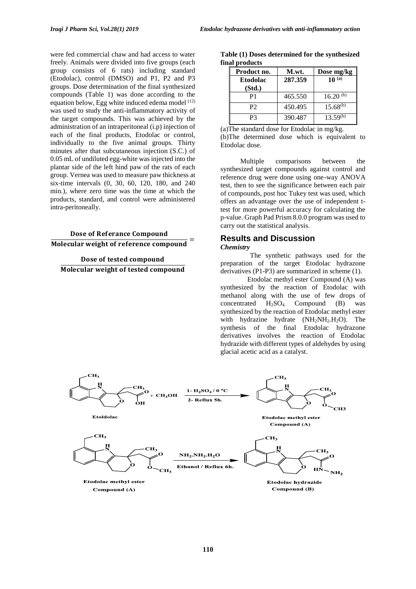were fed commercial chaw and had access to water freely. Animals were divided into five groups (each group consists of 6 rats) including standard (Etodolac), control (DMSO) and P1, P2 and P3 groups. Dose determination of the final synthesized compounds (Table 1) was done according to the equation below, Egg white induced edema model (12) was used to study the anti-inflammatory activity of the target compounds. This was achieved by the administration of an intraperitoneal (i.p) injection of each of the final products, Etodolac or control, individually to the five animal groups. Thirty minutes after that subcutaneous injection (S.C.) of 0.05 mL of undiluted egg-white was injected into the plantar side of the left hind paw of the rats of each group. Vernea was used to measure paw thickness at six-time intervals (0, 30, 60, 120, 180, and 240 min.), where zero time was the time at which the products, standard, and control were administered intra-peritoneally.

**Dose of Referance Compound** Molecular weight of reference compound

Dose of tested compound Molecular weight of tested compound

| final products |                           |         |               |  |  |  |
|----------------|---------------------------|---------|---------------|--|--|--|
|                | Product no.               | M.wt.   | Dose mg/kg    |  |  |  |
|                | <b>Etodolac</b><br>(Std.) | 287.359 | $10^{(a)}$    |  |  |  |
|                | P1                        | 465.550 | $16.20^{(b)}$ |  |  |  |
|                | P <sub>2</sub>            | 450.495 | $15.68^{(b)}$ |  |  |  |
|                | P3                        | 390.487 | $13.59^{(b)}$ |  |  |  |

**Table (1) Doses determined for the synthesized** 

(a)The standard dose for Etodolac in mg/kg. (b)The determined dose which is equivalent to Etodolac dose.

Multiple comparisons between the synthesized target compounds against control and reference drug were done using one-way ANOVA test, then to see the significance between each pair of compounds, post hoc Tukey test was used, which offers an advantage over the use of independent ttest for more powerful accuracy for calculating the p-value. Graph Pad Prism 8.0.0 program was used to carry out the statistical analysis.

#### **Results and Discussion** *Chemistry*

 The synthetic pathways used for the preparation of the target Etodolac hydrazone

derivatives (P1-P3) are summarized in scheme (1). Etodolac methyl ester Compound (A) was synthesized by the reaction of Etodolac with methanol along with the use of few drops of concentrated  $H_2SO_4$  Compound (B) was synthesized by the reaction of Etodolac methyl ester with hydrazine hydrate  $(NH_2NH_2H_2O)$ . The synthesis of the final Etodolac hydrazone derivatives involves the reaction of Etodolac hydrazide with different types of aldehydes by using glacial acetic acid as a catalyst.

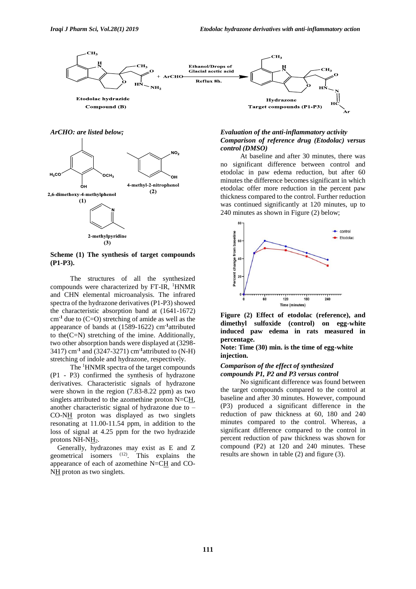

*ArCHO: are listed below;*



**Scheme (1) The synthesis of target compounds (P1-P3).**

The structures of all the synthesized compounds were characterized by FT-IR, <sup>1</sup>HNMR and CHN elemental microanalysis. The infrared spectra of the hydrazone derivatives (P1-P3) showed the characteristic absorption band at (1641-1672) cm**-1** due to (C=O) stretching of amide as well as the appearance of bands at (1589-1622) cm**-1** attributed to the(C=N) stretching of the imine. Additionally, two other absorption bands were displayed at (3298- 3417) cm**-1** and (3247-3271) cm**-1** attributed to (N-H) stretching of indole and hydrazone, respectively.

The <sup>1</sup>HNMR spectra of the target compounds (P1 - P3) confirmed the synthesis of hydrazone derivatives. Characteristic signals of hydrazone were shown in the region (7.83-8.22 ppm) as two singlets attributed to the azomethine proton N=CH, another characteristic signal of hydrazone due to – CO-NH proton was displayed as two singlets resonating at 11.00-11.54 ppm, in addition to the loss of signal at 4.25 ppm for the two hydrazide protons NH-NH<sub>2</sub>.

 Generally, hydrazones may exist as E and Z geometrical isomers (12). This explains the appearance of each of azomethine N=CH and CO-NH proton as two singlets.

#### *Evaluation of the anti-inflammatory activity Comparison of reference drug (Etodolac) versus control (DMSO)*

At baseline and after 30 minutes, there was no significant difference between control and etodolac in paw edema reduction, but after 60 minutes the difference becomes significant in which etodolac offer more reduction in the percent paw thickness compared to the control. Further reduction was continued significantly at 120 minutes, up to 240 minutes as shown in Figure (2) below;



**Figure (2) Effect of etodolac (reference), and dimethyl sulfoxide (control) on egg-white induced paw edema in rats measured in percentage.**

**Note: Time (30) min. is the time of egg-white injection.**

## *Comparison of the effect of synthesized compounds P1, P2 and P3 versus control*

No significant difference was found between the target compounds compared to the control at baseline and after 30 minutes. However, compound (P3) produced a significant difference in the reduction of paw thickness at 60, 180 and 240 minutes compared to the control. Whereas, a significant difference compared to the control in percent reduction of paw thickness was shown for compound (P2) at 120 and 240 minutes. These results are shown in table (2) and figure (3).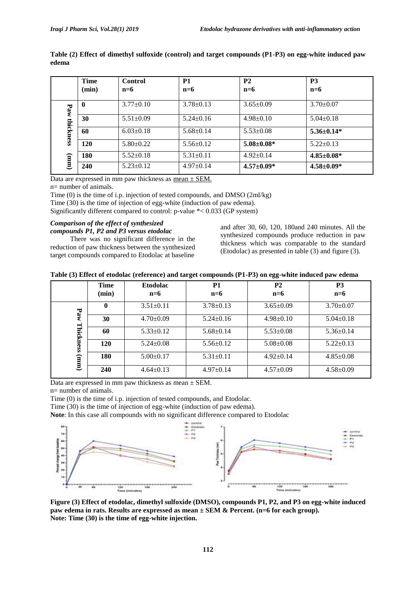|                          | <b>Time</b><br>(min) | Control<br>$n=6$ | <b>P1</b><br>$n=6$ | P <sub>2</sub><br>$n=6$ | P <sub>3</sub><br>$n=6$ |
|--------------------------|----------------------|------------------|--------------------|-------------------------|-------------------------|
| Paw<br>thickness<br>(mm) | 0                    | $3.77 \pm 0.10$  | $3.78 \pm 0.13$    | $3.65 \pm 0.09$         | $3.70 \pm 0.07$         |
|                          | 30                   | $5.51 \pm 0.09$  | $5.24 \pm 0.16$    | $4.98 \pm 0.10$         | $5.04 \pm 0.18$         |
|                          | 60                   | $6.03 \pm 0.18$  | $5.68 \pm 0.14$    | $5.53 \pm 0.08$         | $5.36 \pm 0.14*$        |
|                          | 120                  | $5.80 \pm 0.22$  | $5.56 \pm 0.12$    | $5.08 \pm 0.08^*$       | $5.22 \pm 0.13$         |
|                          | 180                  | $5.52 \pm 0.18$  | $5.31 \pm 0.11$    | $4.92 \pm 0.14$         | $4.85 \pm 0.08^*$       |
|                          | 240                  | $5.23 \pm 0.12$  | $4.97 \pm 0.14$    | $4.57 \pm 0.09*$        | $4.58 \pm 0.09*$        |

**Table (2) Effect of dimethyl sulfoxide (control) and target compounds (P1-P3) on egg-white induced paw edema**

Data are expressed in mm paw thickness as mean  $\pm$  SEM.

n= number of animals.

Time (0) is the time of i.p. injection of tested compounds, and DMSO (2ml/kg)

Time (30) is the time of injection of egg-white (induction of paw edema).

Significantly different compared to control: p-value \*< 0.033 (GP system)

## *Comparison of the effect of synthesized compounds P1, P2 and P3 versus etodolac*

There was no significant difference in the reduction of paw thickness between the synthesized target compounds compared to Etodolac at baseline

and after 30, 60, 120, 180and 240 minutes. All the synthesized compounds produce reduction in paw thickness which was comparable to the standard (Etodolac) as presented in table (3) and figure (3).

| Table (3) Effect of etodolac (reference) and target compounds (P1-P3) on egg-white induced paw edema |  |  |
|------------------------------------------------------------------------------------------------------|--|--|

|                  | <b>Time</b> | <b>Etodolac</b> | P <sub>1</sub>  | P <sub>2</sub>  | P <sub>3</sub>  |
|------------------|-------------|-----------------|-----------------|-----------------|-----------------|
|                  | (min)       | $n=6$           | $n=6$           | $n=6$           | $n=6$           |
|                  | $\mathbf 0$ | $3.51 \pm 0.11$ | $3.78 \pm 0.13$ | $3.65 \pm 0.09$ | $3.70 \pm 0.07$ |
| Paw<br>Thickness | 30          | $4.70 \pm 0.09$ | $5.24 \pm 0.16$ | $4.98 \pm 0.10$ | $5.04 \pm 0.18$ |
|                  | 60          | $5.33 \pm 0.12$ | $5.68 \pm 0.14$ | $5.53 \pm 0.08$ | $5.36 \pm 0.14$ |
|                  | 120         | $5.24 \pm 0.08$ | $5.56 \pm 0.12$ | $5.08 \pm 0.08$ | $5.22 \pm 0.13$ |
| (mm)             | 180         | $5.00 \pm 0.17$ | $5.31 \pm 0.11$ | $4.92 \pm 0.14$ | $4.85 \pm 0.08$ |
|                  | 240         | $4.64 \pm 0.13$ | $4.97 \pm 0.14$ | $4.57 \pm 0.09$ | $4.58 \pm 0.09$ |

Data are expressed in mm paw thickness as mean  $\pm$  SEM.

n= number of animals.

Time (0) is the time of i.p. injection of tested compounds, and Etodolac.

Time (30) is the time of injection of egg-white (induction of paw edema).

**Note**: In this case all compounds with no significant difference compared to Etodolac



**Figure (3) Effect of etodolac, dimethyl sulfoxide (DMSO), compounds P1, P2, and P3 on egg-white induced paw edema in rats. Results are expressed as mean ± SEM & Percent. (n=6 for each group). Note: Time (30) is the time of egg-white injection.**